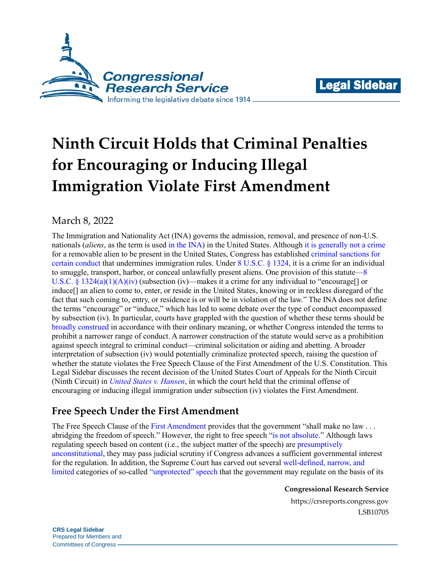



# **Ninth Circuit Holds that Criminal Penalties for Encouraging or Inducing Illegal Immigration Violate First Amendment**

# March 8, 2022

The Immigration and Nationality Act (INA) governs the admission, removal, and presence of non-U.S. nationals (*aliens*, as the term is used [in the INA\)](https://uscode.house.gov/view.xhtml?req=granuleid%3AUSC-prelim-title8-section1101&num=0&edition=prelim) in the United States. Although [it is generally not a crime](https://www.supremecourt.gov/opinions/11pdf/11-182b5e1.pdf#page=19) for a removable alien to be present in the United States, Congress has established [criminal sanctions for](https://crsreports.congress.gov/product/pdf/IF/IF11410)  [certain conduct](https://crsreports.congress.gov/product/pdf/IF/IF11410) that undermines immigration rules. Under [8 U.S.C. § 1324,](https://www.google.com/url?sa=t&rct=j&q=&esrc=s&source=web&cd=4&ved=2ahUKEwiilJ2ZsM_nAhXyg3IEHYCsCRUQFjADegQIAxAB&url=https%3A%2F%2Fwww.gpo.gov%2Ffdsys%2Fpkg%2FUSCODE-2011-title8%2Fpdf%2FUSCODE-2011-title8-chap12-subchapII-partVIII-sec1324.pdf&usg=AOvVaw0u_CBbZRo5kZmer3b-L3hF) it is a crime for an individual to smuggle, transport, harbor, or conceal unlawfully present aliens. One provision of this statute[—8](https://www.govinfo.gov/content/pkg/USCODE-2011-title8/pdf/USCODE-2011-title8-chap12-subchapII-partVIII-sec1324.pdf#page=1)  U.S.C. § [1324\(a\)\(1\)\(A\)\(iv\)](https://www.govinfo.gov/content/pkg/USCODE-2011-title8/pdf/USCODE-2011-title8-chap12-subchapII-partVIII-sec1324.pdf#page=1) (subsection (iv)—makes it a crime for any individual to "encourage[] or induce[] an alien to come to, enter, or reside in the United States, knowing or in reckless disregard of the fact that such coming to, entry, or residence is or will be in violation of the law." The INA does not define the terms "encourage" or "induce," which has led to some debate over the type of conduct encompassed by subsection (iv). In particular, courts have grappled with the question of whether these terms should be [broadly construed](https://www.supremecourt.gov/DocketPDF/19/19-67/130168/20200128132301915_Amicus%20Brief%20for%20NACDL%20and%20NAFD%20-%20U.S.%20v.%20Sineneng-Smith.pdf#page=22) in accordance with their ordinary meaning, or whether Congress intended the terms to prohibit a narrower range of conduct. A narrower construction of the statute would serve as a prohibition against speech integral to criminal conduct—criminal solicitation or aiding and abetting. A broader interpretation of subsection (iv) would potentially criminalize protected speech, raising the question of whether the statute violates the Free Speech Clause of the First Amendment of the U.S. Constitution. This Legal Sidebar discusses the recent decision of the United States Court of Appeals for the Ninth Circuit (Ninth Circuit) in *[United States v. Hansen](https://cdn.ca9.uscourts.gov/datastore/opinions/2022/02/10/17-10548.pdf)*, in which the court held that the criminal offense of encouraging or inducing illegal immigration under subsection (iv) violates the First Amendment.

# **Free Speech Under the First Amendment**

The Free Speech Clause of the [First Amendment](https://constitution.congress.gov/constitution/amendment-1/) provides that the government "shall make no law . . . abridging the freedom of speech." However, the right to free speech ["is not absolute.](http://cdn.loc.gov/service/ll/usrep/usrep535/usrep535564/usrep535564.pdf#page=10)" Although laws regulating speech based on content (i.e., the subject matter of the speech) are [presumptively](https://www.supremecourt.gov/opinions/14pdf/13-502_9olb.pdf#page=10)  [unconstitutional,](https://www.supremecourt.gov/opinions/14pdf/13-502_9olb.pdf#page=10) they may pass judicial scrutiny if Congress advances a sufficient governmental interest for the regulation. In addition, the Supreme Court has carved out several [well-defined, narrow, and](http://cdn.loc.gov/service/ll/usrep/usrep315/usrep315568/usrep315568.pdf#page=4)  [limited](http://cdn.loc.gov/service/ll/usrep/usrep315/usrep315568/usrep315568.pdf#page=4) categories of so-called ["unprotected" speech](https://crsreports.congress.gov/product/pdf/IF/IF11072) that the government may regulate on the basis of its

**Congressional Research Service**

https://crsreports.congress.gov LSB10705

**CRS Legal Sidebar** Prepared for Members and Committees of Congress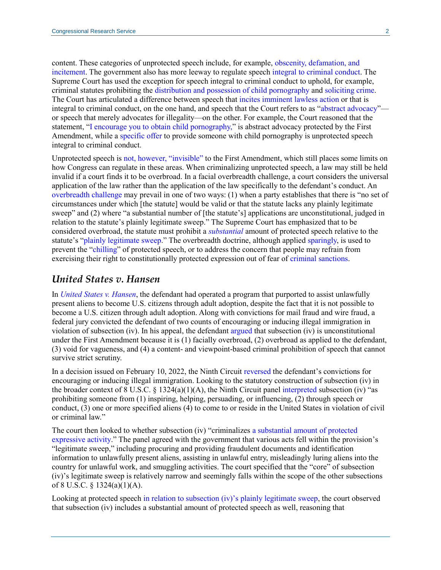content. These categories of unprotected speech include, for example, obscenity, [defamation, and](https://www.supremecourt.gov/opinions/10pdf/08-1448.pdf#page=5) [incitement.](https://www.supremecourt.gov/opinions/10pdf/08-1448.pdf#page=5) The government also has more leeway to regulate speech [integral to criminal conduct.](http://cdn.loc.gov/service/ll/usrep/usrep336/usrep336490/usrep336490.pdf#page=9) The Supreme Court has used the exception for speech integral to criminal conduct to uphold, for example, criminal statutes prohibiting the [distribution and possession of child pornography](http://cdn.loc.gov/service/ll/usrep/usrep458/usrep458747/usrep458747.pdf#page=15) and [soliciting crime.](https://www.law.cornell.edu/supct/pdf/06-694P.ZO#page=11) The Court has articulated a difference between speech that [incites imminent lawless action](http://cdn.loc.gov/service/ll/usrep/usrep395/usrep395444/usrep395444.pdf#page=6) or that is integral to criminal conduct, on the one hand, and speech that the Court refers to as ["abstract advocacy"](http://cdn.loc.gov/service/ll/usrep/usrep395/usrep395444/usrep395444.pdf#page=4) or speech that merely advocates for illegality—on the other. For example, the Court reasoned that the statement, ["I encourage you to obtain child pornography,](https://www.law.cornell.edu/supct/pdf/06-694P.ZO#page=14)" is abstract advocacy protected by the First Amendment, while [a specific offer](https://www.law.cornell.edu/supct/pdf/06-694P.ZO#page=13) to provide someone with child pornography is unprotected speech integral to criminal conduct.

Unprotected speech is [not, however,](http://cdn.loc.gov/service/ll/usrep/usrep505/usrep505377/usrep505377.pdf#page=7) "invisible" to the First Amendment, which still places some limits on how Congress can regulate in these areas. When criminalizing unprotected speech, a law may still be held invalid if a court finds it to be overbroad. In a facial overbreadth challenge, a court considers the universal application of the law rather than the application of the law specifically to the defendant's conduct. An [overbreadth challenge](https://www.supremecourt.gov/opinions/09pdf/08-769.pdf#page=14) may prevail in one of two ways: (1) when a party establishes that there is "no set of circumstances under which [the statute] would be valid or that the statute lacks any plainly legitimate sweep" and (2) where "a substantial number of [the statute's] applications are unconstitutional, judged in relation to the statute's plainly legitimate sweep." The Supreme Court has emphasized that to be considered overbroad, the statute must prohibit a *[substantial](http://cdn.loc.gov/service/ll/usrep/usrep539/usrep539113/usrep539113.pdf#page=8)* amount of protected speech relative to the statute's ["plainly legitimate sweep.](https://www.law.cornell.edu/supct/pdf/06-694P.ZO#page=6)" The overbreadth doctrine, although applied [sparingly,](https://www.law.cornell.edu/supct/pdf/06-694P.ZO#page=6) is used to prevent the ["chilling"](https://cdn.loc.gov/service/ll/usrep/usrep535/usrep535234/usrep535234.pdf#page=11) of protected speech, or to address the concern that people may refrain from exercising their right to constitutionally protected expression out of fear of [criminal sanctions.](http://cdn.loc.gov/service/ll/usrep/usrep539/usrep539113/usrep539113.pdf#page=7)

#### *United States v. Hansen*

In *[United States](https://cdn.ca9.uscourts.gov/datastore/opinions/2022/02/10/17-10548.pdf#page=4) v. Hansen*, the defendant had operated a program that purported to assist unlawfully present aliens to become U.S. citizens through adult adoption, despite the fact that it is not possible to become a U.S. citizen through adult adoption. Along with convictions for mail fraud and wire fraud, a federal jury convicted the defendant of two counts of encouraging or inducing illegal immigration in violation of subsection (iv). In his appeal, the defendant [argued](https://cdn.ca9.uscourts.gov/datastore/opinions/2022/02/10/17-10548.pdf#page=5) that subsection (iv) is unconstitutional under the First Amendment because it is (1) facially overbroad, (2) overbroad as applied to the defendant, (3) void for vagueness, and (4) a content- and viewpoint-based criminal prohibition of speech that cannot survive strict scrutiny.

In a decision issued on February 10, 2022, the Ninth Circui[t reversed](https://cdn.ca9.uscourts.gov/datastore/opinions/2022/02/10/17-10548.pdf#page=16) the defendant's convictions for encouraging or inducing illegal immigration. Looking to the statutory construction of subsection (iv) in the broader context of 8 U.S.C. § 1324(a)(1)(A), the Ninth Circuit panel [interpreted](https://cdn.ca9.uscourts.gov/datastore/opinions/2022/02/10/17-10548.pdf#page=11) subsection (iv) "as prohibiting someone from (1) inspiring, helping, persuading, or influencing, (2) through speech or conduct, (3) one or more specified aliens (4) to come to or reside in the United States in violation of civil or criminal law."

The court then looked to whether subsection (iv) "criminalizes [a substantial amount of protected](https://cdn.ca9.uscourts.gov/datastore/opinions/2022/02/10/17-10548.pdf#page=11)  [expressive activity.](https://cdn.ca9.uscourts.gov/datastore/opinions/2022/02/10/17-10548.pdf#page=11)" The panel agreed with the government that various acts fell within the provision's "legitimate sweep," including procuring and providing fraudulent documents and identification information to unlawfully present aliens, assisting in unlawful entry, misleadingly luring aliens into the country for unlawful work, and smuggling activities. The court specified that the "core" of subsection (iv)'s legitimate sweep is relatively narrow and seemingly falls within the scope of the other subsections of 8 U.S.C. § 1324(a)(1)(A).

Looking at protected speech in relation to [subsection \(iv\)'s plainly legitimate sweep,](https://cdn.ca9.uscourts.gov/datastore/opinions/2022/02/10/17-10548.pdf#page=13) the court observed that subsection (iv) includes a substantial amount of protected speech as well, reasoning that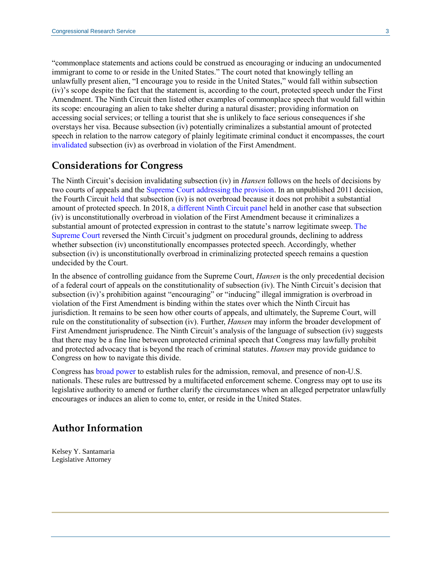"commonplace statements and actions could be construed as encouraging or inducing an undocumented immigrant to come to or reside in the United States." The court noted that knowingly telling an unlawfully present alien, "I encourage you to reside in the United States," would fall within subsection (iv)'s scope despite the fact that the statement is, according to the court, protected speech under the First Amendment. The Ninth Circuit then listed other examples of commonplace speech that would fall within its scope: encouraging an alien to take shelter during a natural disaster; providing information on accessing social services; or telling a tourist that she is unlikely to face serious consequences if she overstays her visa. Because subsection (iv) potentially criminalizes a substantial amount of protected speech in relation to the narrow category of plainly legitimate criminal conduct it encompasses, the court [invalidated](https://cdn.ca9.uscourts.gov/datastore/opinions/2022/02/10/17-10548.pdf#page=16) subsection (iv) as overbroad in violation of the First Amendment.

#### **Considerations for Congress**

The Ninth Circuit's decision invalidating subsection (iv) in *Hansen* follows on the heels of decisions by two courts of appeals and the [Supreme Court](https://www.supremecourt.gov/opinions/19pdf/19-67_n6io.pdf) addressing the provision. In an unpublished 2011 decision, the Fourth Circuit [held](https://cite.case.law/f-appx/456/267/) that subsection (iv) is not overbroad because it does not prohibit a substantial amount of protected speech. In 2018, a different [Ninth Circuit panel](https://cdn.ca9.uscourts.gov/datastore/opinions/2018/12/04/15-10614.pdf) held in another case that subsection (iv) is unconstitutionally overbroad in violation of the First Amendment because it criminalizes a substantial amount of protected expression in contrast to the statute's narrow legitimate sweep. [The](https://www.supremecourt.gov/opinions/19pdf/19-67_n6io.pdf) [Supreme Court](https://www.supremecourt.gov/opinions/19pdf/19-67_n6io.pdf) reversed the Ninth Circuit's judgment on procedural grounds, declining to address whether subsection (iv) unconstitutionally encompasses protected speech. Accordingly, whether subsection (iv) is unconstitutionally overbroad in criminalizing protected speech remains a question undecided by the Court.

In the absence of controlling guidance from the Supreme Court, *Hansen* is the only precedential decision of a federal court of appeals on the constitutionality of subsection (iv). The Ninth Circuit's decision that subsection (iv)'s prohibition against "encouraging" or "inducing" illegal immigration is overbroad in violation of the First Amendment is binding within the states over which the Ninth Circuit has jurisdiction. It remains to be seen how other courts of appeals, and ultimately, the Supreme Court, will rule on the constitutionality of subsection (iv). Further, *Hansen* may inform the broader development of First Amendment jurisprudence. The Ninth Circuit's analysis of the language of subsection (iv) suggests that there may be a fine line between unprotected criminal speech that Congress may lawfully prohibit and protected advocacy that is beyond the reach of criminal statutes. *Hansen* may provide guidance to Congress on how to navigate this divide.

Congress has [broad power](https://constitution.congress.gov/browse/essay/artI-S8-C18-4-2-1/ALDE_00001255/) to establish rules for the admission, removal, and presence of non-U.S. nationals. These rules are buttressed by a multifaceted enforcement scheme. Congress may opt to use its legislative authority to amend or further clarify the circumstances when an alleged perpetrator unlawfully encourages or induces an alien to come to, enter, or reside in the United States.

### **Author Information**

Kelsey Y. Santamaria Legislative Attorney